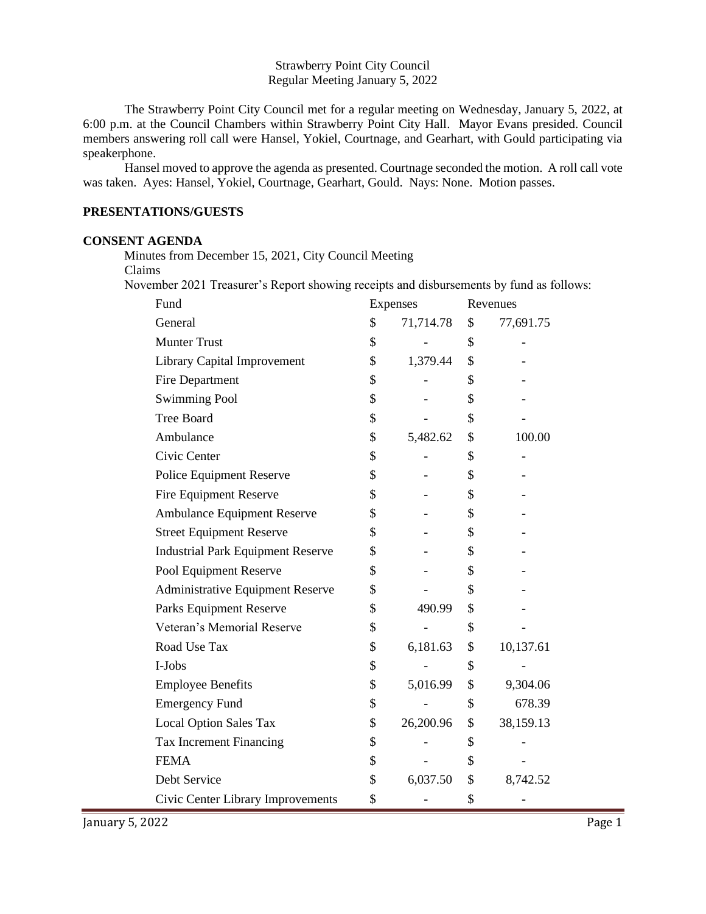#### Strawberry Point City Council Regular Meeting January 5, 2022

The Strawberry Point City Council met for a regular meeting on Wednesday, January 5, 2022, at 6:00 p.m. at the Council Chambers within Strawberry Point City Hall. Mayor Evans presided. Council members answering roll call were Hansel, Yokiel, Courtnage, and Gearhart, with Gould participating via speakerphone.

Hansel moved to approve the agenda as presented. Courtnage seconded the motion. A roll call vote was taken. Ayes: Hansel, Yokiel, Courtnage, Gearhart, Gould. Nays: None. Motion passes.

#### **PRESENTATIONS/GUESTS**

#### **CONSENT AGENDA**

Minutes from December 15, 2021, City Council Meeting

Claims

November 2021 Treasurer's Report showing receipts and disbursements by fund as follows:

| Fund                                     | Expenses |           | Revenues |           |
|------------------------------------------|----------|-----------|----------|-----------|
| General                                  | \$       | 71,714.78 | \$       | 77,691.75 |
| <b>Munter Trust</b>                      | \$       |           | \$       |           |
| <b>Library Capital Improvement</b>       | \$       | 1,379.44  | \$       |           |
| Fire Department                          | \$       |           | \$       |           |
| <b>Swimming Pool</b>                     | \$       |           | \$       |           |
| <b>Tree Board</b>                        | \$       |           | \$       |           |
| Ambulance                                | \$       | 5,482.62  | \$       | 100.00    |
| Civic Center                             | \$       |           | \$       |           |
| Police Equipment Reserve                 | \$       |           | \$       |           |
| <b>Fire Equipment Reserve</b>            | \$       |           | \$       |           |
| <b>Ambulance Equipment Reserve</b>       | \$       |           | \$       |           |
| <b>Street Equipment Reserve</b>          | \$       |           | \$       |           |
| <b>Industrial Park Equipment Reserve</b> | \$       |           | \$       |           |
| Pool Equipment Reserve                   | \$       |           | \$       |           |
| Administrative Equipment Reserve         | \$       |           | \$       |           |
| Parks Equipment Reserve                  | \$       | 490.99    | \$       |           |
| Veteran's Memorial Reserve               | \$       |           | \$       |           |
| Road Use Tax                             | \$       | 6,181.63  | \$       | 10,137.61 |
| I-Jobs                                   | \$       |           | \$       |           |
| <b>Employee Benefits</b>                 | \$       | 5,016.99  | \$       | 9,304.06  |
| <b>Emergency Fund</b>                    | \$       |           | \$       | 678.39    |
| <b>Local Option Sales Tax</b>            | \$       | 26,200.96 | \$       | 38,159.13 |
| Tax Increment Financing                  | \$       |           | \$       |           |
| <b>FEMA</b>                              | \$       |           | \$       |           |
| Debt Service                             | \$       | 6,037.50  | \$       | 8,742.52  |
| Civic Center Library Improvements        | \$       |           | \$       |           |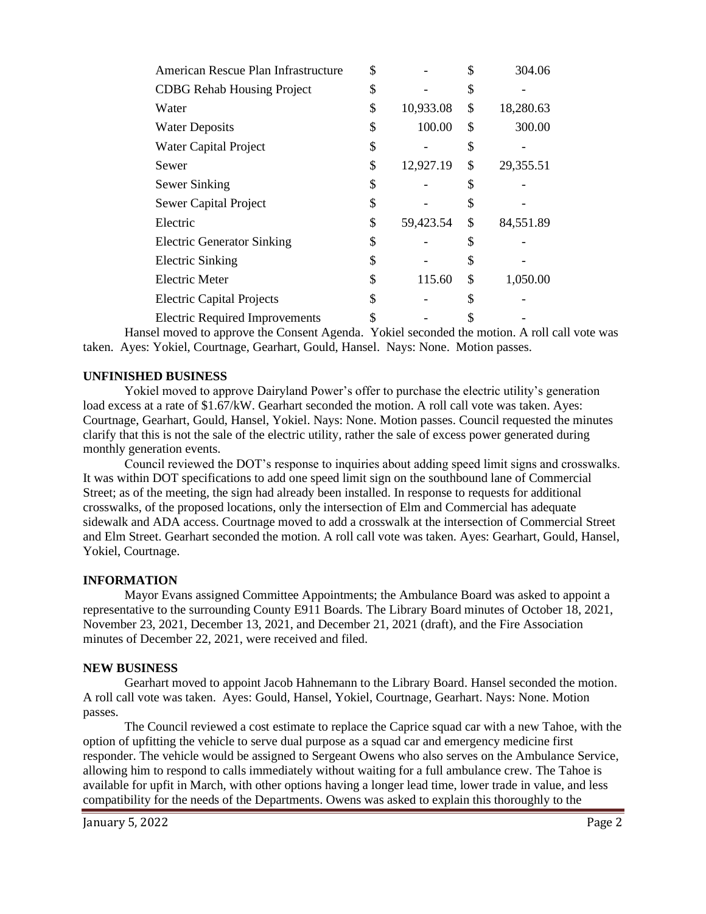| American Rescue Plan Infrastructure   | \$              | \$ | 304.06    |
|---------------------------------------|-----------------|----|-----------|
| <b>CDBG</b> Rehab Housing Project     | \$              | S  |           |
| Water                                 | \$<br>10,933.08 | \$ | 18,280.63 |
| <b>Water Deposits</b>                 | \$<br>100.00    | \$ | 300.00    |
| <b>Water Capital Project</b>          | \$              | \$ |           |
| Sewer                                 | \$<br>12,927.19 | \$ | 29,355.51 |
| Sewer Sinking                         | \$              | \$ |           |
| Sewer Capital Project                 | \$              | \$ |           |
| Electric                              | \$<br>59,423.54 | \$ | 84,551.89 |
| <b>Electric Generator Sinking</b>     | \$              | \$ |           |
| <b>Electric Sinking</b>               | \$              | \$ |           |
| <b>Electric Meter</b>                 | \$<br>115.60    | \$ | 1,050.00  |
| <b>Electric Capital Projects</b>      | \$              | \$ |           |
| <b>Electric Required Improvements</b> |                 |    |           |

Hansel moved to approve the Consent Agenda. Yokiel seconded the motion. A roll call vote was taken. Ayes: Yokiel, Courtnage, Gearhart, Gould, Hansel. Nays: None. Motion passes.

# **UNFINISHED BUSINESS**

Yokiel moved to approve Dairyland Power's offer to purchase the electric utility's generation load excess at a rate of \$1.67/kW. Gearhart seconded the motion. A roll call vote was taken. Ayes: Courtnage, Gearhart, Gould, Hansel, Yokiel. Nays: None. Motion passes. Council requested the minutes clarify that this is not the sale of the electric utility, rather the sale of excess power generated during monthly generation events.

Council reviewed the DOT's response to inquiries about adding speed limit signs and crosswalks. It was within DOT specifications to add one speed limit sign on the southbound lane of Commercial Street; as of the meeting, the sign had already been installed. In response to requests for additional crosswalks, of the proposed locations, only the intersection of Elm and Commercial has adequate sidewalk and ADA access. Courtnage moved to add a crosswalk at the intersection of Commercial Street and Elm Street. Gearhart seconded the motion. A roll call vote was taken. Ayes: Gearhart, Gould, Hansel, Yokiel, Courtnage.

# **INFORMATION**

Mayor Evans assigned Committee Appointments; the Ambulance Board was asked to appoint a representative to the surrounding County E911 Boards. The Library Board minutes of October 18, 2021, November 23, 2021, December 13, 2021, and December 21, 2021 (draft), and the Fire Association minutes of December 22, 2021, were received and filed.

# **NEW BUSINESS**

Gearhart moved to appoint Jacob Hahnemann to the Library Board. Hansel seconded the motion. A roll call vote was taken. Ayes: Gould, Hansel, Yokiel, Courtnage, Gearhart. Nays: None. Motion passes.

The Council reviewed a cost estimate to replace the Caprice squad car with a new Tahoe, with the option of upfitting the vehicle to serve dual purpose as a squad car and emergency medicine first responder. The vehicle would be assigned to Sergeant Owens who also serves on the Ambulance Service, allowing him to respond to calls immediately without waiting for a full ambulance crew. The Tahoe is available for upfit in March, with other options having a longer lead time, lower trade in value, and less compatibility for the needs of the Departments. Owens was asked to explain this thoroughly to the